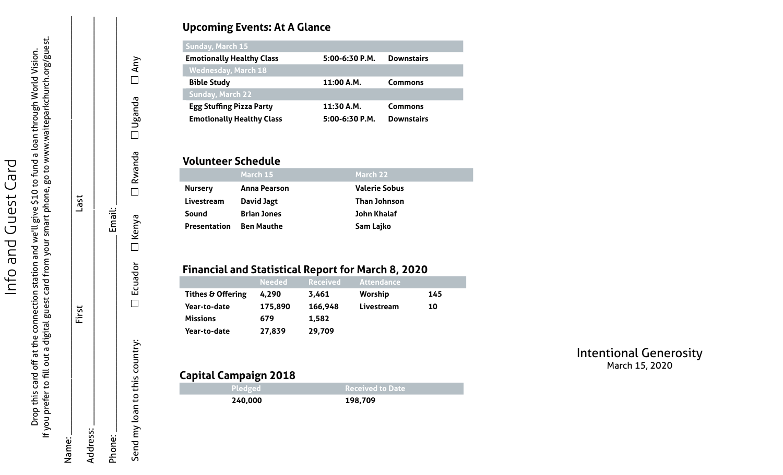# **Upcoming Events: At A Glance**

| Sunday, March 15                 |                  |                   |
|----------------------------------|------------------|-------------------|
| <b>Emotionally Healthy Class</b> | $5:00-6:30 P.M.$ | <b>Downstairs</b> |
| <b>Wednesday, March 18</b>       |                  |                   |
| <b>Bible Study</b>               | 11:00 A.M.       | <b>Commons</b>    |
| <b>Sunday, March 22</b>          |                  |                   |
| <b>Egg Stuffing Pizza Party</b>  | 11:30 A.M.       | <b>Commons</b>    |
| <b>Emotionally Healthy Class</b> | 5:00-6:30 P.M.   | <b>Downstairs</b> |

#### **Volunteer Schedule**

|                     | March 15            | March 22             |
|---------------------|---------------------|----------------------|
| <b>Nursery</b>      | <b>Anna Pearson</b> | <b>Valerie Sobus</b> |
| Livestream          | David Jagt          | <b>Than Johnson</b>  |
| Sound               | <b>Brian Jones</b>  | John Khalaf          |
| <b>Presentation</b> | <b>Ben Mauthe</b>   | Sam Lajko            |

# **Financial and Statistical Report for March 8, 2020**

|                   | <b>Needed</b> | <b>Received</b> | <b>Attendance</b> |     |
|-------------------|---------------|-----------------|-------------------|-----|
| Tithes & Offering | 4,290         | 3,461           | <b>Worship</b>    | 145 |
| Year-to-date      | 175,890       | 166,948         | Livestream        | 10  |
| <b>Missions</b>   | 679           | 1,582           |                   |     |
| Year-to-date      | 27,839        | 29,709          |                   |     |

# **Capital Campaign 2018**

| <b>Pledged</b> | <b>Received to Date</b> |
|----------------|-------------------------|
| 240,000        | 198,709                 |

### Intentional Generosity March 15, 2020

If you prefer to fill out a digital guest card from your smart phone, go to www.waiteparkchurch.org/guest. Drop this card off at the connection station and we'll give \$10 to fund a loan through World Vision.<br>If you prefer to fill out a digital guest card from your smart phone, go to www.waiteparkchurch.org/guest. Drop this card off at the connection station and we'll give \$10 to fund a loan through World Vision. through World Vision.

 $N$ ame:  $\equiv$ 

First Last

First

Address:

Name:

Phone:

Last

Address: \_\_\_\_\_\_\_\_\_\_\_\_\_\_\_\_\_\_\_\_\_\_\_\_\_\_\_\_\_\_\_\_\_\_\_\_\_\_\_\_\_\_\_\_\_\_\_\_\_\_\_\_\_\_\_\_\_\_\_\_\_\_\_\_\_\_\_\_\_\_\_\_\_\_\_\_\_\_\_\_\_\_\_\_\_\_\_

Phone: \_\_\_\_\_\_\_\_\_\_\_\_\_\_\_\_\_\_\_\_\_\_\_\_\_\_\_\_\_\_\_\_\_\_\_\_\_\_\_\_\_\_ Email: \_\_\_\_\_\_\_\_\_\_\_\_\_\_\_\_\_\_\_\_\_\_\_\_\_\_\_\_\_\_\_\_\_\_\_\_\_\_\_\_

Email:

Send my loan to this country: Ecuador Kenya Rwanda Uganda Any

Ecuador

 $\Box$ 

Send my loan to this country:

Kenya

 $\Box$ 

 $\Box$  Any

 $\Box$  Uganda

**D** Rwanda

Info and Guest Card

**Due** 

Info

Guest Card